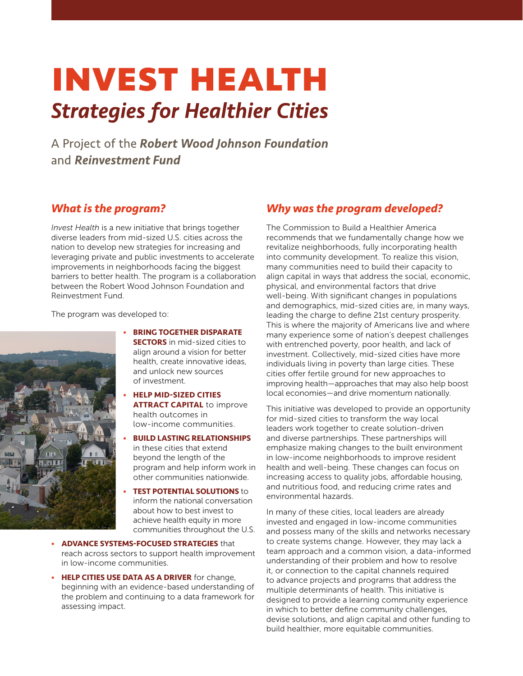# **INVEST HEALTH Strategies for Healthier Cities**

A Project of the Robert Wood Johnson Foundation and Reinvestment Fund

## *What is the program?*

*Invest Health* is a new initiative that brings together diverse leaders from mid-sized U.S. cities across the nation to develop new strategies for increasing and leveraging private and public investments to accelerate improvements in neighborhoods facing the biggest barriers to better health. The program is a collaboration between the Robert Wood Johnson Foundation and Reinvestment Fund.

The program was developed to:



- **BRING TOGETHER DISPARATE SECTORS** in mid-sized cities to align around a vision for better health, create innovative ideas, and unlock new sources of investment.
- **HELP MID-SIZED CITIES ATTRACT CAPITAL** to improve health outcomes in low-income communities.
- **BUILD LASTING RELATIONSHIPS** in these cities that extend beyond the length of the program and help inform work in other communities nationwide.
- **TEST POTENTIAL SOLUTIONS** to inform the national conversation about how to best invest to achieve health equity in more communities throughout the U.S.
- **ADVANCE SYSTEMS-FOCUSED STRATEGIES** that reach across sectors to support health improvement in low-income communities.
- **HELP CITIES USE DATA AS A DRIVER** for change, beginning with an evidence-based understanding of the problem and continuing to a data framework for assessing impact.

## *Why was the program developed?*

The Commission to Build a Healthier America recommends that we fundamentally change how we revitalize neighborhoods, fully incorporating health into community development. To realize this vision, many communities need to build their capacity to align capital in ways that address the social, economic, physical, and environmental factors that drive well-being. With significant changes in populations and demographics, mid-sized cities are, in many ways, leading the charge to define 21st century prosperity. This is where the majority of Americans live and where many experience some of nation's deepest challenges with entrenched poverty, poor health, and lack of investment. Collectively, mid-sized cities have more individuals living in poverty than large cities. These cities offer fertile ground for new approaches to improving health—approaches that may also help boost local economies—and drive momentum nationally.

This initiative was developed to provide an opportunity for mid-sized cities to transform the way local leaders work together to create solution-driven and diverse partnerships. These partnerships will emphasize making changes to the built environment in low-income neighborhoods to improve resident health and well-being. These changes can focus on increasing access to quality jobs, affordable housing, and nutritious food, and reducing crime rates and environmental hazards.

In many of these cities, local leaders are already invested and engaged in low-income communities and possess many of the skills and networks necessary to create systems change. However, they may lack a team approach and a common vision, a data-informed understanding of their problem and how to resolve it, or connection to the capital channels required to advance projects and programs that address the multiple determinants of health. This initiative is designed to provide a learning community experience in which to better define community challenges, devise solutions, and align capital and other funding to build healthier, more equitable communities.